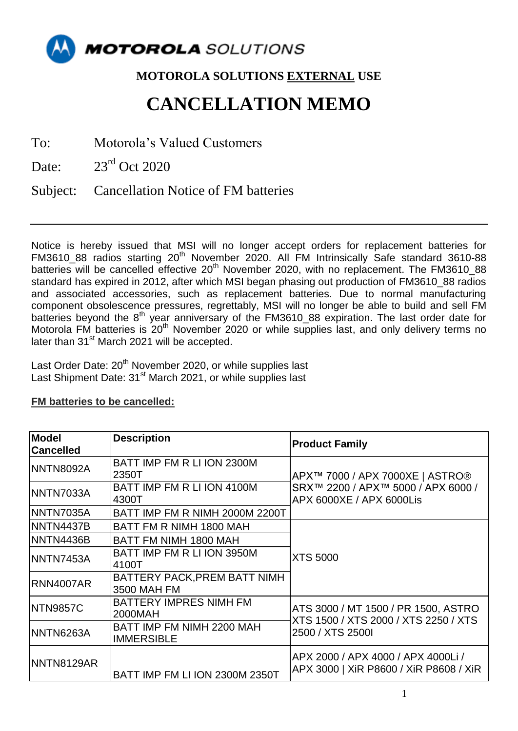

## **MOTOROLA SOLUTIONS EXTERNAL USE**

## **CANCELLATION MEMO**

To: Motorola's Valued Customers

Date:  $23<sup>rd</sup>$  Oct 2020

Subject: Cancellation Notice of FM batteries

Notice is hereby issued that MSI will no longer accept orders for replacement batteries for FM3610\_88 radios starting 20<sup>th</sup> November 2020. All FM Intrinsically Safe standard 3610-88 batteries will be cancelled effective 20<sup>th</sup> November 2020, with no replacement. The FM3610\_88 standard has expired in 2012, after which MSI began phasing out production of FM3610 88 radios and associated accessories, such as replacement batteries. Due to normal manufacturing component obsolescence pressures, regrettably, MSI will no longer be able to build and sell FM batteries beyond the 8<sup>th</sup> year anniversary of the FM3610\_88 expiration. The last order date for Motorola FM batteries is 20<sup>th</sup> November 2020 or while supplies last, and only delivery terms no later than 31<sup>st</sup> March 2021 will be accepted.

Last Order Date: 20<sup>th</sup> November 2020, or while supplies last Last Shipment Date: 31<sup>st</sup> March 2021, or while supplies last

## **FM batteries to be cancelled:**

| <b>Model</b><br><b>Cancelled</b> | <b>Description</b>                             | <b>Product Family</b>                                                                             |
|----------------------------------|------------------------------------------------|---------------------------------------------------------------------------------------------------|
| NNTN8092A                        | BATT IMP FM R LI ION 2300M<br>2350T            | APX™ 7000 / APX 7000XE   ASTRO®<br>SRX™ 2200 / APX™ 5000 / APX 6000 /<br>APX 6000XE / APX 6000Lis |
| NNTN7033A                        | BATT IMP FM R LI ION 4100M<br>4300T            |                                                                                                   |
| INNTN7035A                       | BATT IMP FM R NIMH 2000M 2200T                 |                                                                                                   |
| <b>NNTN4437B</b>                 | BATT FM R NIMH 1800 MAH                        | <b>XTS 5000</b>                                                                                   |
| <b>NNTN4436B</b>                 | BATT FM NIMH 1800 MAH                          |                                                                                                   |
| NNTN7453A                        | BATT IMP FM R LI ION 3950M<br>4100T            |                                                                                                   |
| <b>RNN4007AR</b>                 | BATTERY PACK, PREM BATT NIMH<br>3500 MAH FM    |                                                                                                   |
| <b>NTN9857C</b>                  | <b>BATTERY IMPRES NIMH FM</b><br>2000MAH       | ATS 3000 / MT 1500 / PR 1500, ASTRO<br>XTS 1500 / XTS 2000 / XTS 2250 / XTS<br>2500 / XTS 2500I   |
| NNTN6263A                        | BATT IMP FM NIMH 2200 MAH<br><b>IMMERSIBLE</b> |                                                                                                   |
| NNTN8129AR                       | BATT IMP FM LI ION 2300M 2350T                 | APX 2000 / APX 4000 / APX 4000Li /<br>APX 3000   XiR P8600 / XiR P8608 / XiR                      |